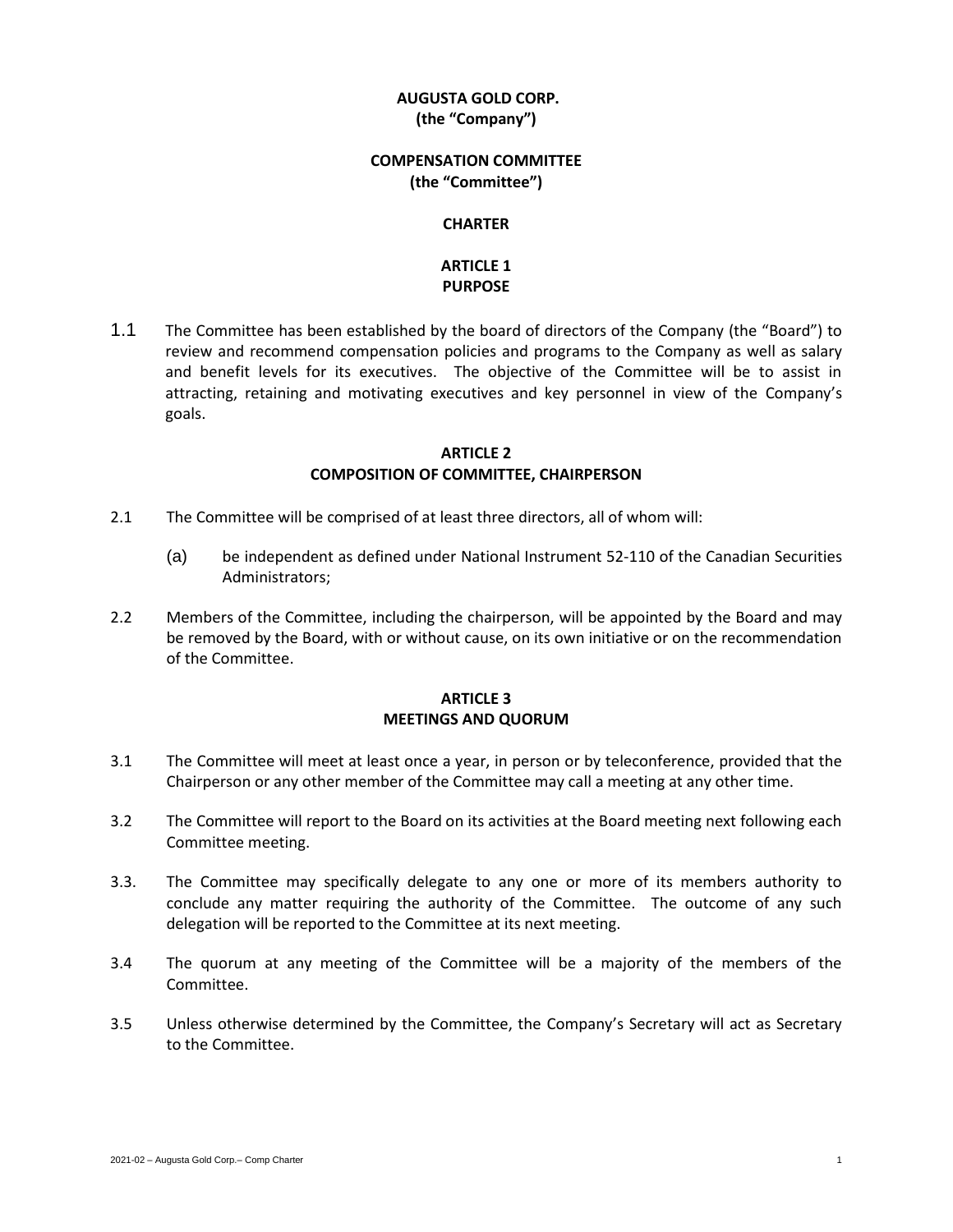## **AUGUSTA GOLD CORP. (the "Company")**

### **COMPENSATION COMMITTEE (the "Committee")**

#### **CHARTER**

# **ARTICLE 1 PURPOSE**

1.1 The Committee has been established by the board of directors of the Company (the "Board") to review and recommend compensation policies and programs to the Company as well as salary and benefit levels for its executives. The objective of the Committee will be to assist in attracting, retaining and motivating executives and key personnel in view of the Company's goals.

### **ARTICLE 2 COMPOSITION OF COMMITTEE, CHAIRPERSON**

- 2.1 The Committee will be comprised of at least three directors, all of whom will:
	- (a) be independent as defined under National Instrument 52-110 of the Canadian Securities Administrators;
- 2.2 Members of the Committee, including the chairperson, will be appointed by the Board and may be removed by the Board, with or without cause, on its own initiative or on the recommendation of the Committee.

## **ARTICLE 3 MEETINGS AND QUORUM**

- 3.1 The Committee will meet at least once a year, in person or by teleconference, provided that the Chairperson or any other member of the Committee may call a meeting at any other time.
- 3.2 The Committee will report to the Board on its activities at the Board meeting next following each Committee meeting.
- 3.3. The Committee may specifically delegate to any one or more of its members authority to conclude any matter requiring the authority of the Committee. The outcome of any such delegation will be reported to the Committee at its next meeting.
- 3.4 The quorum at any meeting of the Committee will be a majority of the members of the Committee.
- 3.5 Unless otherwise determined by the Committee, the Company's Secretary will act as Secretary to the Committee.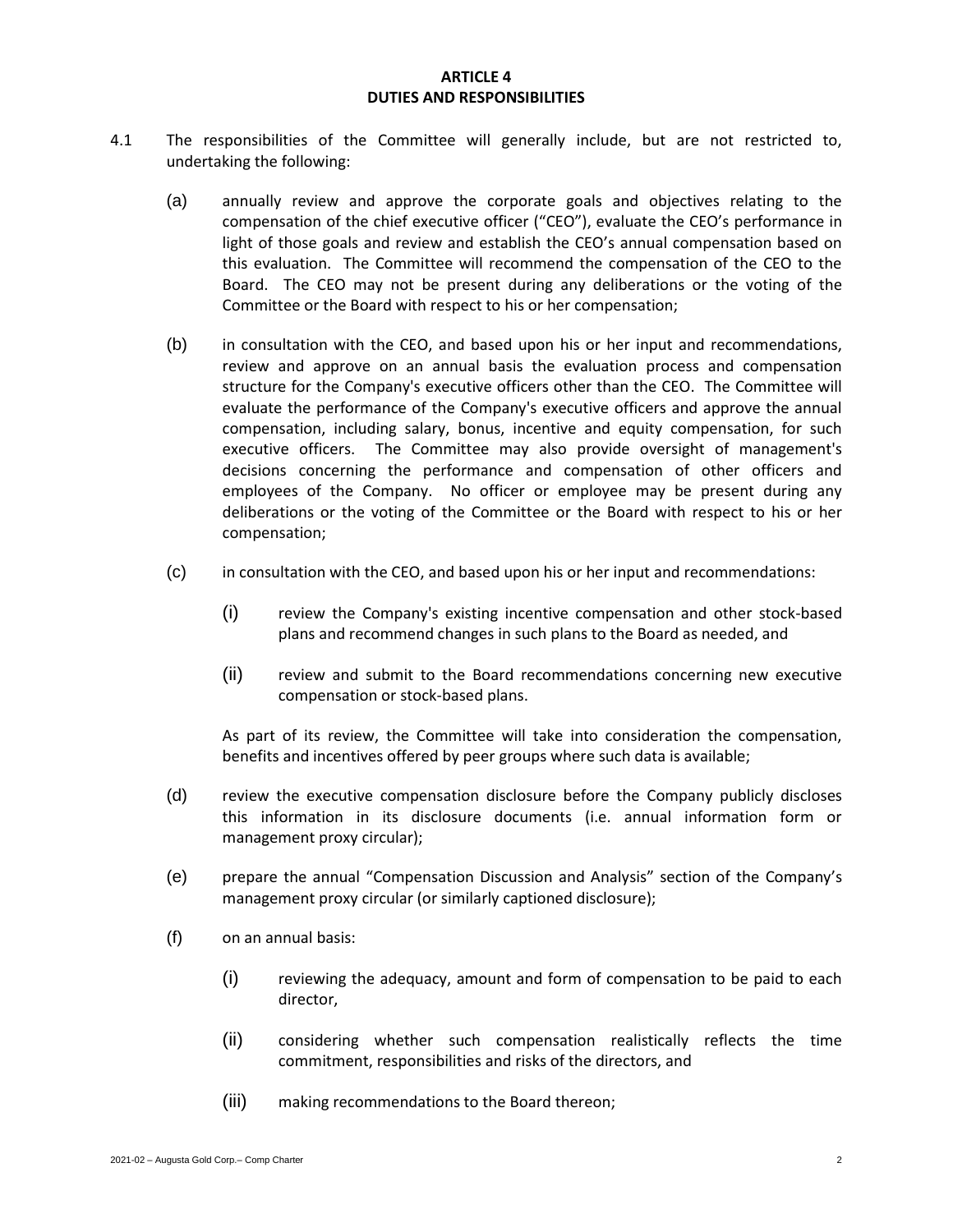#### **ARTICLE 4 DUTIES AND RESPONSIBILITIES**

- 4.1 The responsibilities of the Committee will generally include, but are not restricted to, undertaking the following:
	- (a) annually review and approve the corporate goals and objectives relating to the compensation of the chief executive officer ("CEO"), evaluate the CEO's performance in light of those goals and review and establish the CEO's annual compensation based on this evaluation. The Committee will recommend the compensation of the CEO to the Board. The CEO may not be present during any deliberations or the voting of the Committee or the Board with respect to his or her compensation;
	- (b) in consultation with the CEO, and based upon his or her input and recommendations, review and approve on an annual basis the evaluation process and compensation structure for the Company's executive officers other than the CEO. The Committee will evaluate the performance of the Company's executive officers and approve the annual compensation, including salary, bonus, incentive and equity compensation, for such executive officers. The Committee may also provide oversight of management's decisions concerning the performance and compensation of other officers and employees of the Company. No officer or employee may be present during any deliberations or the voting of the Committee or the Board with respect to his or her compensation;
	- (c) in consultation with the CEO, and based upon his or her input and recommendations:
		- (i) review the Company's existing incentive compensation and other stock-based plans and recommend changes in such plans to the Board as needed, and
		- (ii) review and submit to the Board recommendations concerning new executive compensation or stock-based plans.

As part of its review, the Committee will take into consideration the compensation, benefits and incentives offered by peer groups where such data is available;

- (d) review the executive compensation disclosure before the Company publicly discloses this information in its disclosure documents (i.e. annual information form or management proxy circular);
- (e) prepare the annual "Compensation Discussion and Analysis" section of the Company's management proxy circular (or similarly captioned disclosure);
- (f) on an annual basis:
	- (i) reviewing the adequacy, amount and form of compensation to be paid to each director,
	- (ii) considering whether such compensation realistically reflects the time commitment, responsibilities and risks of the directors, and
	- (iii) making recommendations to the Board thereon;